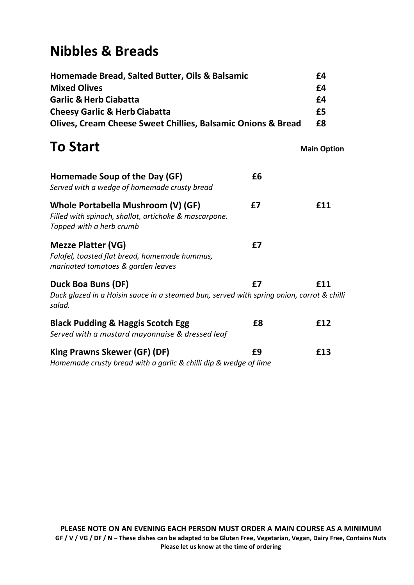## **Nibbles & Breads**

| Homemade Bread, Salted Butter, Oils & Balsamic<br><b>Mixed Olives</b>                                                         |     |  |  |                 |
|-------------------------------------------------------------------------------------------------------------------------------|-----|--|--|-----------------|
| <b>Garlic &amp; Herb Ciabatta</b>                                                                                             |     |  |  |                 |
| <b>Cheesy Garlic &amp; Herb Ciabatta</b><br><b>Olives, Cream Cheese Sweet Chillies, Balsamic Onions &amp; Bread</b>           |     |  |  |                 |
|                                                                                                                               |     |  |  | <b>To Start</b> |
| Homemade Soup of the Day (GF)<br>£6<br>Served with a wedge of homemade crusty bread                                           |     |  |  |                 |
| Whole Portabella Mushroom (V) (GF)<br>£7<br>Filled with spinach, shallot, artichoke & mascarpone.<br>Topped with a herb crumb | £11 |  |  |                 |
| <b>Mezze Platter (VG)</b><br>£7<br>Falafel, toasted flat bread, homemade hummus,<br>marinated tomatoes & garden leaves        |     |  |  |                 |
| Duck Boa Buns (DF)<br>£7                                                                                                      | £11 |  |  |                 |
| Duck glazed in a Hoisin sauce in a steamed bun, served with spring onion, carrot & chilli<br>salad.                           |     |  |  |                 |
| <b>Black Pudding &amp; Haggis Scotch Egg</b><br>£8<br>Served with a mustard mayonnaise & dressed leaf                         | £12 |  |  |                 |
| King Prawns Skewer (GF) (DF)<br>£9<br>Homemade crusty bread with a garlic & chilli dip & wedge of lime                        | £13 |  |  |                 |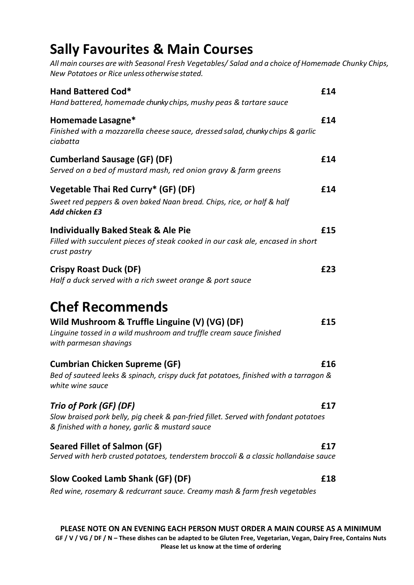### **Sally Favourites & Main Courses**

*All main courses are with Seasonal Fresh Vegetables/ Salad and a choice of Homemade Chunky Chips, New Potatoes or Rice unlessotherwise stated.*

| <b>Hand Battered Cod*</b><br>Hand battered, homemade chunky chips, mushy peas & tartare sauce                                                                             | £14 |
|---------------------------------------------------------------------------------------------------------------------------------------------------------------------------|-----|
| Homemade Lasagne*<br>Finished with a mozzarella cheese sauce, dressed salad, chunky chips & garlic<br>ciabatta                                                            | £14 |
| <b>Cumberland Sausage (GF) (DF)</b><br>Served on a bed of mustard mash, red onion gravy & farm greens                                                                     | £14 |
| Vegetable Thai Red Curry* (GF) (DF)<br>Sweet red peppers & oven baked Naan bread. Chips, rice, or half & half<br>Add chicken £3                                           | £14 |
| <b>Individually Baked Steak &amp; Ale Pie</b><br>Filled with succulent pieces of steak cooked in our cask ale, encased in short<br>crust pastry                           | £15 |
| <b>Crispy Roast Duck (DF)</b><br>Half a duck served with a rich sweet orange & port sauce                                                                                 | £23 |
| <b>Chef Recommends</b><br>Wild Mushroom & Truffle Linguine (V) (VG) (DF)<br>Linguine tossed in a wild mushroom and truffle cream sauce finished<br>with parmesan shavings | £15 |
| <b>Cumbrian Chicken Supreme (GF)</b><br>Bed of sauteed leeks & spinach, crispy duck fat potatoes, finished with a tarragon &<br>white wine sauce                          | £16 |
| Trio of Pork (GF) (DF)<br>Slow braised pork belly, pig cheek & pan-fried fillet. Served with fondant potatoes<br>& finished with a honey, garlic & mustard sauce          | £17 |
| <b>Seared Fillet of Salmon (GF)</b><br>Served with herb crusted potatoes, tenderstem broccoli & a classic hollandaise sauce                                               | £17 |
| Slow Cooked Lamb Shank (GF) (DF)<br>Red wine, rosemary & redcurrant sauce. Creamy mash & farm fresh vegetables                                                            | £18 |
|                                                                                                                                                                           |     |

**PLEASE NOTE ON AN EVENING EACH PERSON MUST ORDER A MAIN COURSE AS A MINIMUM GF / V / VG / DF / N – These dishes can be adapted to be Gluten Free, Vegetarian, Vegan, Dairy Free, Contains Nuts Please let us know at the time of ordering**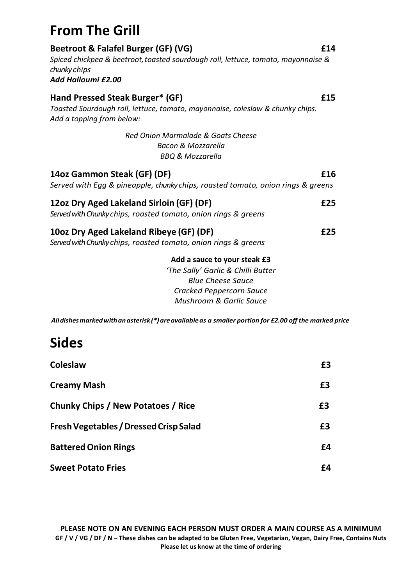### **From The Grill**

| Beetroot & Falafel Burger (GF) (VG)<br>Spiced chickpea & beetroot, toasted sourdough roll, lettuce, tomato, mayonnaise &<br>chunky chips<br>Add Halloumi £2.00          | £14 |
|-------------------------------------------------------------------------------------------------------------------------------------------------------------------------|-----|
| Hand Pressed Steak Burger* (GF)<br>Toasted Sourdough roll, lettuce, tomato, mayonnaise, coleslaw & chunky chips.<br>Add a topping from below:                           | £15 |
| Red Onion Marmalade & Goats Cheese<br><b>Bacon &amp; Mozzarella</b><br>BBQ & Mozzarella                                                                                 |     |
| 14oz Gammon Steak (GF) (DF)<br>Served with Egg & pineapple, chunky chips, roasted tomato, onion rings & greens                                                          | £16 |
| 12oz Dry Aged Lakeland Sirloin (GF) (DF)<br>Served with Chunky chips, roasted tomato, onion rings & greens                                                              | £25 |
| 10oz Dry Aged Lakeland Ribeye (GF) (DF)<br>Served with Chunky chips, roasted tomato, onion rings & greens                                                               | £25 |
| Add a sauce to your steak £3<br>'The Sally' Garlic & Chilli Butter<br><b>Blue Cheese Sauce</b><br><b>Cracked Peppercorn Sauce</b><br><b>Mushroom &amp; Garlic Sauce</b> |     |

*Alldishesmarkedwithanasterisk (\*)areavailableas a smaller portion for £2.00 off the marked price*

### **Sides**

| <b>Coleslaw</b>                               | £3 |
|-----------------------------------------------|----|
| <b>Creamy Mash</b>                            | £3 |
| <b>Chunky Chips / New Potatoes / Rice</b>     | £3 |
| <b>Fresh Vegetables / Dressed Crisp Salad</b> | £3 |
| <b>Battered Onion Rings</b>                   | £4 |
| <b>Sweet Potato Fries</b>                     | f4 |